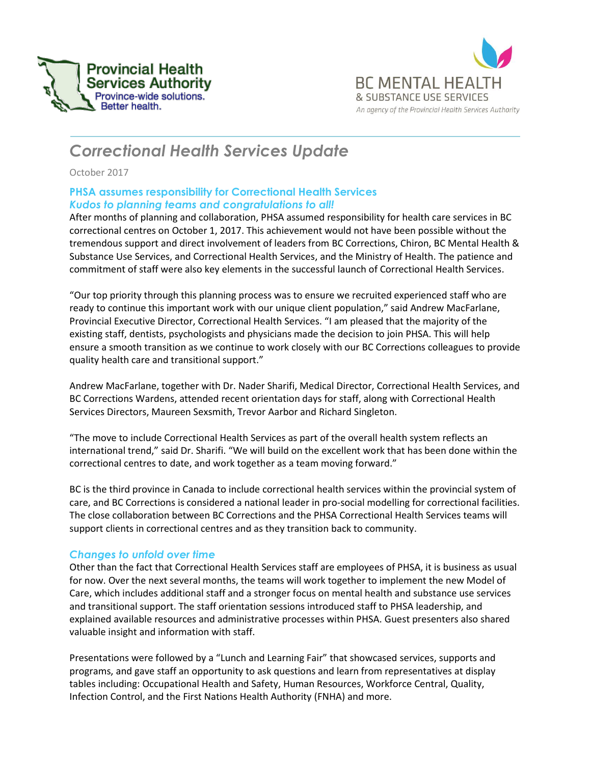



# *Correctional Health Services Update*

October 2017

## **PHSA assumes responsibility for Correctional Health Services** *Kudos to planning teams and congratulations to all!*

After months of planning and collaboration, PHSA assumed responsibility for health care services in BC correctional centres on October 1, 2017. This achievement would not have been possible without the tremendous support and direct involvement of leaders from BC Corrections, Chiron, BC Mental Health & Substance Use Services, and Correctional Health Services, and the Ministry of Health. The patience and commitment of staff were also key elements in the successful launch of Correctional Health Services.

"Our top priority through this planning process was to ensure we recruited experienced staff who are ready to continue this important work with our unique client population," said Andrew MacFarlane, Provincial Executive Director, Correctional Health Services. "I am pleased that the majority of the existing staff, dentists, psychologists and physicians made the decision to join PHSA. This will help ensure a smooth transition as we continue to work closely with our BC Corrections colleagues to provide quality health care and transitional support."

Andrew MacFarlane, together with Dr. Nader Sharifi, Medical Director, Correctional Health Services, and BC Corrections Wardens, attended recent orientation days for staff, along with Correctional Health Services Directors, Maureen Sexsmith, Trevor Aarbor and Richard Singleton.

"The move to include Correctional Health Services as part of the overall health system reflects an international trend," said Dr. Sharifi. "We will build on the excellent work that has been done within the correctional centres to date, and work together as a team moving forward."

BC is the third province in Canada to include correctional health services within the provincial system of care, and BC Corrections is considered a national leader in pro-social modelling for correctional facilities. The close collaboration between BC Corrections and the PHSA Correctional Health Services teams will support clients in correctional centres and as they transition back to community.

# *Changes to unfold over time*

Other than the fact that Correctional Health Services staff are employees of PHSA, it is business as usual for now. Over the next several months, the teams will work together to implement the new Model of Care, which includes additional staff and a stronger focus on mental health and substance use services and transitional support. The staff orientation sessions introduced staff to PHSA leadership, and explained available resources and administrative processes within PHSA. Guest presenters also shared valuable insight and information with staff.

Presentations were followed by a "Lunch and Learning Fair" that showcased services, supports and programs, and gave staff an opportunity to ask questions and learn from representatives at display tables including: Occupational Health and Safety, Human Resources, Workforce Central, Quality, Infection Control, and the First Nations Health Authority (FNHA) and more.